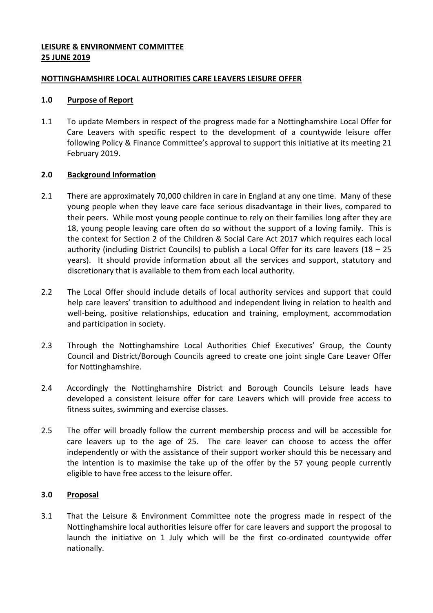## **LEISURE & ENVIRONMENT COMMITTEE 25 JUNE 2019**

## **NOTTINGHAMSHIRE LOCAL AUTHORITIES CARE LEAVERS LEISURE OFFER**

#### **1.0 Purpose of Report**

1.1 To update Members in respect of the progress made for a Nottinghamshire Local Offer for Care Leavers with specific respect to the development of a countywide leisure offer following Policy & Finance Committee's approval to support this initiative at its meeting 21 February 2019.

## **2.0 Background Information**

- 2.1 There are approximately 70,000 children in care in England at any one time. Many of these young people when they leave care face serious disadvantage in their lives, compared to their peers. While most young people continue to rely on their families long after they are 18, young people leaving care often do so without the support of a loving family. This is the context for Section 2 of the Children & Social Care Act 2017 which requires each local authority (including District Councils) to publish a Local Offer for its care leavers (18 – 25 years). It should provide information about all the services and support, statutory and discretionary that is available to them from each local authority.
- 2.2 The Local Offer should include details of local authority services and support that could help care leavers' transition to adulthood and independent living in relation to health and well-being, positive relationships, education and training, employment, accommodation and participation in society.
- 2.3 Through the Nottinghamshire Local Authorities Chief Executives' Group, the County Council and District/Borough Councils agreed to create one joint single Care Leaver Offer for Nottinghamshire.
- 2.4 Accordingly the Nottinghamshire District and Borough Councils Leisure leads have developed a consistent leisure offer for care Leavers which will provide free access to fitness suites, swimming and exercise classes.
- 2.5 The offer will broadly follow the current membership process and will be accessible for care leavers up to the age of 25. The care leaver can choose to access the offer independently or with the assistance of their support worker should this be necessary and the intention is to maximise the take up of the offer by the 57 young people currently eligible to have free access to the leisure offer.

# **3.0 Proposal**

3.1 That the Leisure & Environment Committee note the progress made in respect of the Nottinghamshire local authorities leisure offer for care leavers and support the proposal to launch the initiative on 1 July which will be the first co-ordinated countywide offer nationally.